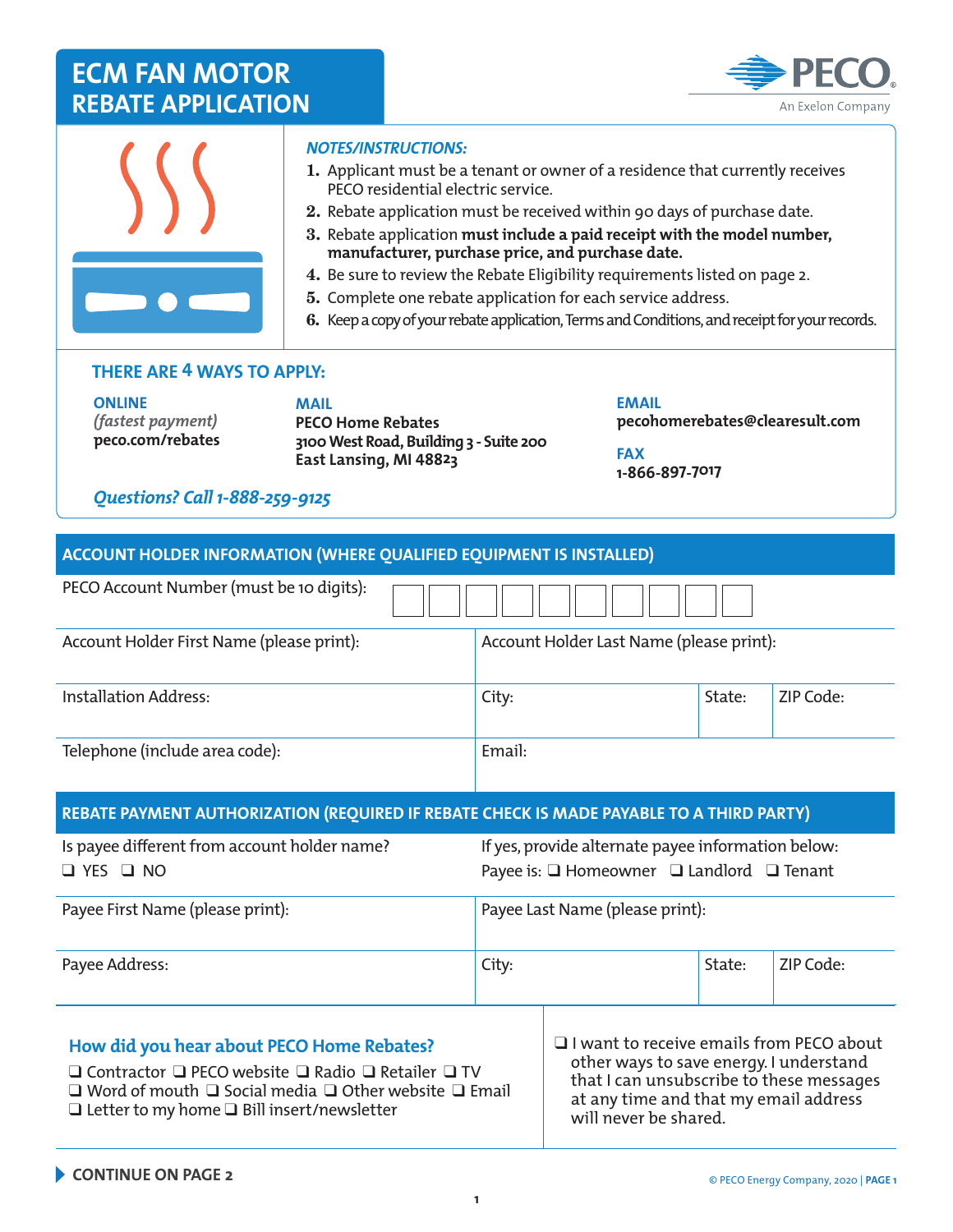



#### *NOTES/INSTRUCTIONS:*

- 1. Applicant must be a tenant or owner of a residence that currently receives PECO residential electric service.
- 2. Rebate application must be received within 90 days of purchase date.
- 3. Rebate application **must include a paid receipt with the model number, manufacturer, purchase price, and purchase date.**
- 4. Be sure to review the Rebate Eligibility requirements listed on page 2.
- 5. Complete one rebate application for each service address.
- 6. Keep a copy of your rebate application, Terms and Conditions, and receipt for your records.

### **THERE ARE 4 WAYS TO APPLY:**

**ONLINE**  *(fastest payment)* **[peco.com/rebates](www.peco.com/rebates)**  **MAIL PECO Home Rebates 3100West Road, Building 3 - Suite 200 East Lansing, MI 48823**

**EMAIL pecohomerebates@clearesult.com**

**FAX 1-866-897-7017**

### *Questions? Call 1-888-259-9125*

| <b>ACCOUNT HOLDER INFORMATION (WHERE QUALIFIED EQUIPMENT IS INSTALLED)</b>               |                                                                                                                |                                                                                          |        |           |  |  |
|------------------------------------------------------------------------------------------|----------------------------------------------------------------------------------------------------------------|------------------------------------------------------------------------------------------|--------|-----------|--|--|
| PECO Account Number (must be 10 digits):                                                 |                                                                                                                |                                                                                          |        |           |  |  |
| Account Holder First Name (please print):                                                | Account Holder Last Name (please print):                                                                       |                                                                                          |        |           |  |  |
| <b>Installation Address:</b>                                                             | City:                                                                                                          |                                                                                          | State: | ZIP Code: |  |  |
| Telephone (include area code):                                                           | Email:                                                                                                         |                                                                                          |        |           |  |  |
| REBATE PAYMENT AUTHORIZATION (REQUIRED IF REBATE CHECK IS MADE PAYABLE TO A THIRD PARTY) |                                                                                                                |                                                                                          |        |           |  |  |
| Is payee different from account holder name?<br>$\Box$ YES $\Box$ NO                     | If yes, provide alternate payee information below:<br>Payee is: $\Box$ Homeowner $\Box$ Landlord $\Box$ Tenant |                                                                                          |        |           |  |  |
| Payee First Name (please print):                                                         | Payee Last Name (please print):                                                                                |                                                                                          |        |           |  |  |
| Payee Address:                                                                           | City:                                                                                                          |                                                                                          | State: | ZIP Code: |  |  |
| How did you hear about PECO Home Rebates?                                                |                                                                                                                | $\Box$ I want to receive emails from PECO about<br>other ways to save energy Lunderstand |        |           |  |  |

❑ Contractor ❑ PECO website ❑ Radio ❑ Retailer ❑ TV ❑ Word of mouth ❑ Social media ❑ Other website ❑ Email ❑ Letter to my home ❑ Bill insert/newsletter

tner ways to save energy. I understand that I can unsubscribe to these messages at any time and that my email address will never be shared.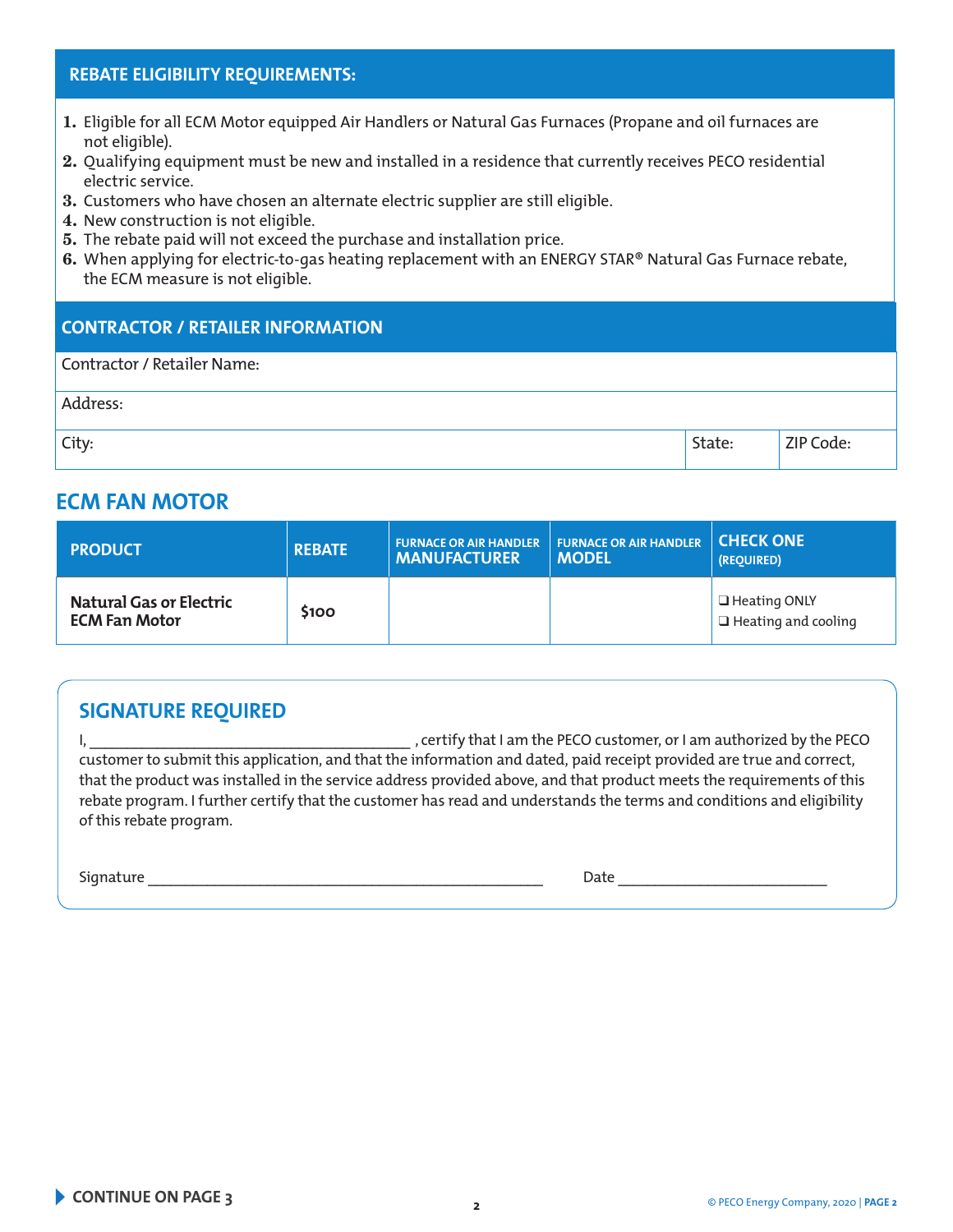## **REBATE ELIGIBILITY REQUIREMENTS:**

- 1. Eligible for all ECM Motor equipped Air Handlers or Natural Gas Furnaces (Propane and oil furnaces are not eligible).
- 2. Qualifying equipment must be new and installed in a residence that currently receives PECO residential electric service.
- 3. Customers who have chosen an alternate electric supplier are still eligible.
- 4. New construction is not eligible.
- 5. The rebate paid will not exceed the purchase and installation price.
- 6. When applying for electric-to-gas heating replacement with an ENERGY STAR® Natural Gas Furnace rebate, the ECM measure is not eligible.

### **CONTRACTOR / RETAILER INFORMATION**

| Contractor / Retailer Name: |        |           |
|-----------------------------|--------|-----------|
| Address:                    |        |           |
| City:                       | State: | ZIP Code: |

## **ECM FAN MOTOR**

| <b>PRODUCT</b>                                  | <b>REBATE</b> | FURNACE OR AIR HANDLER FURNACE OR AIR HANDLER<br><b>MANUFACTURER</b> | MODEL | <b>CHECK ONE</b><br>(REOUIRED)                    |
|-------------------------------------------------|---------------|----------------------------------------------------------------------|-------|---------------------------------------------------|
| Natural Gas or Electric<br><b>ECM Fan Motor</b> | <b>S100</b>   |                                                                      |       | $\Box$ Heating ONLY<br>$\Box$ Heating and cooling |

## **SIGNATURE REQUIRED**

I, \_\_\_\_\_\_\_\_\_\_\_\_\_\_\_\_\_\_\_\_\_\_\_\_\_\_\_\_\_\_\_\_\_\_\_\_\_\_\_\_\_\_\_ , certify that I am the PECO customer, or I am authorized by the PECO customer to submit this application, and that the information and dated, paid receipt provided are true and correct, that the product was installed in the service address provided above, and that product meets the requirements of this rebate program. I further certify that the customer has read and understands the terms and conditions and eligibility of this rebate program.

Signature \_\_\_\_\_\_\_\_\_\_\_\_\_\_\_\_\_\_\_\_\_\_\_\_\_\_\_\_\_\_\_\_\_\_\_\_\_\_\_\_\_\_\_\_\_\_\_\_\_\_\_\_\_ Date \_\_\_\_\_\_\_\_\_\_\_\_\_\_\_\_\_\_\_\_\_\_\_\_\_\_\_\_